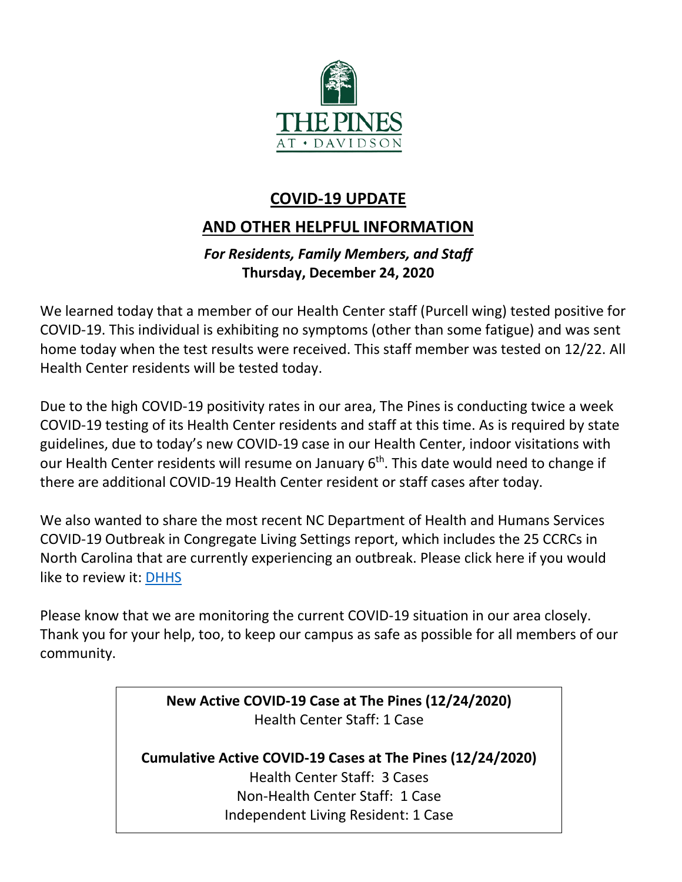

# **COVID-19 UPDATE**

# **AND OTHER HELPFUL INFORMATION**

## *For Residents, Family Members, and Staff* **Thursday, December 24, 2020**

We learned today that a member of our Health Center staff (Purcell wing) tested positive for COVID-19. This individual is exhibiting no symptoms (other than some fatigue) and was sent home today when the test results were received. This staff member was tested on 12/22. All Health Center residents will be tested today.

Due to the high COVID-19 positivity rates in our area, The Pines is conducting twice a week COVID-19 testing of its Health Center residents and staff at this time. As is required by state guidelines, due to today's new COVID-19 case in our Health Center, indoor visitations with our Health Center residents will resume on January 6<sup>th</sup>. This date would need to change if there are additional COVID-19 Health Center resident or staff cases after today.

We also wanted to share the most recent NC Department of Health and Humans Services COVID-19 Outbreak in Congregate Living Settings report, which includes the 25 CCRCs in North Carolina that are currently experiencing an outbreak. Please click here if you would like to review it: [DHHS](https://www.mycommunity-center.com/filephotos/463/December%2024%20Weekly-COVID19-Ongoing-Outbreaks.pdf)

Please know that we are monitoring the current COVID-19 situation in our area closely. Thank you for your help, too, to keep our campus as safe as possible for all members of our community.

> **New Active COVID-19 Case at The Pines (12/24/2020)** Health Center Staff: 1 Case

**Cumulative Active COVID-19 Cases at The Pines (12/24/2020)** Health Center Staff: 3 Cases Non-Health Center Staff: 1 Case Independent Living Resident: 1 Case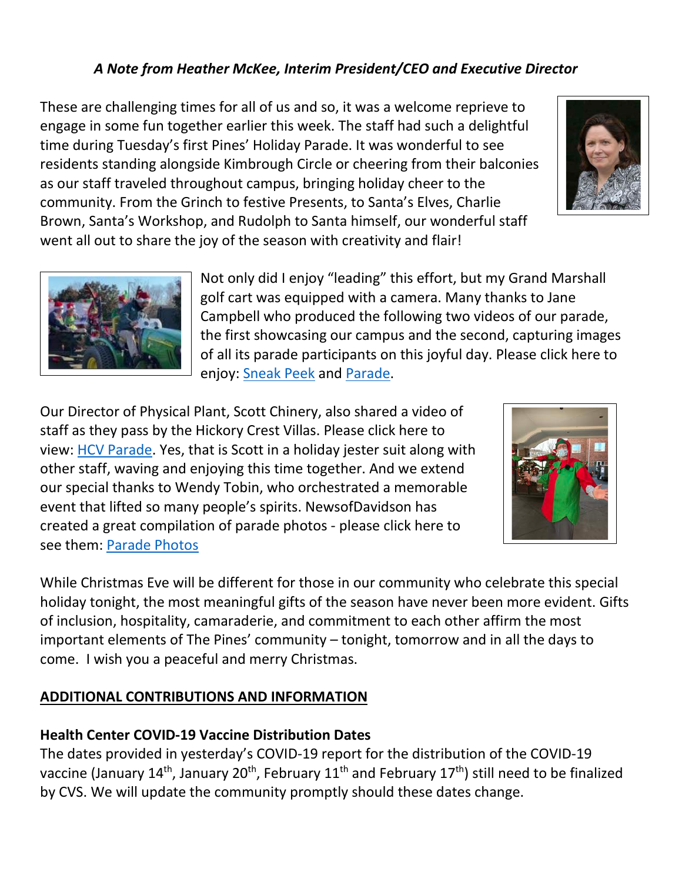## *A Note from Heather McKee, Interim President/CEO and Executive Director*

These are challenging times for all of us and so, it was a welcome reprieve to engage in some fun together earlier this week. The staff had such a delightful time during Tuesday's first Pines' Holiday Parade. It was wonderful to see residents standing alongside Kimbrough Circle or cheering from their balconies as our staff traveled throughout campus, bringing holiday cheer to the community. From the Grinch to festive Presents, to Santa's Elves, Charlie Brown, Santa's Workshop, and Rudolph to Santa himself, our wonderful staff went all out to share the joy of the season with creativity and flair!



Our Director of Physical Plant, Scott Chinery, also shared a video of staff as they pass by the Hickory Crest Villas. Please click here to view: [HCV Parade.](https://youtu.be/ltvM3XNpJpw) Yes, that is Scott in a holiday jester suit along with other staff, waving and enjoying this time together. And we extend our special thanks to Wendy Tobin, who orchestrated a memorable event that lifted so many people's spirits. NewsofDavidson has created a great compilation of parade photos - please click here to see them: [Parade Photos](https://www.newsofdavidson.photos/December-2020/Holiday-Parade-at-The-Pines)



While Christmas Eve will be different for those in our community who celebrate this special holiday tonight, the most meaningful gifts of the season have never been more evident. Gifts of inclusion, hospitality, camaraderie, and commitment to each other affirm the most important elements of The Pines' community – tonight, tomorrow and in all the days to come. I wish you a peaceful and merry Christmas.

### **ADDITIONAL CONTRIBUTIONS AND INFORMATION**

#### **Health Center COVID-19 Vaccine Distribution Dates**

The dates provided in yesterday's COVID-19 report for the distribution of the COVID-19 vaccine (January 14<sup>th</sup>, January 20<sup>th</sup>, February 11<sup>th</sup> and February 17<sup>th</sup>) still need to be finalized by CVS. We will update the community promptly should these dates change.



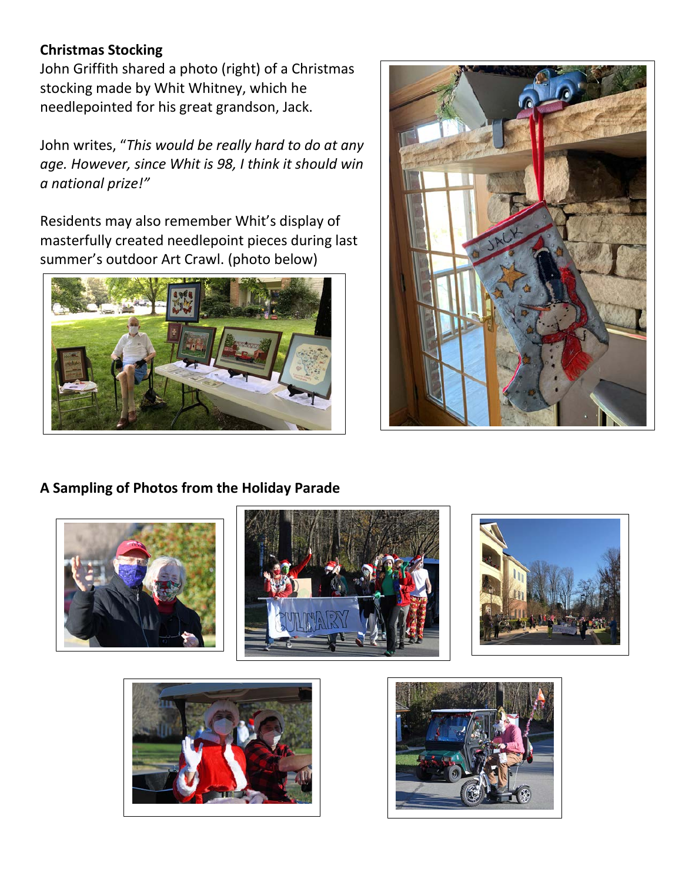### **Christmas Stocking**

John Griffith shared a photo (right) of a Christmas stocking made by Whit Whitney, which he needlepointed for his great grandson, Jack.

John writes, "*This would be really hard to do at any age. However, since Whit is 98, I think it should win a national prize!"*

Residents may also remember Whit's display of masterfully created needlepoint pieces during last summer's outdoor Art Crawl. (photo below)





# **A Sampling of Photos from the Holiday Parade**